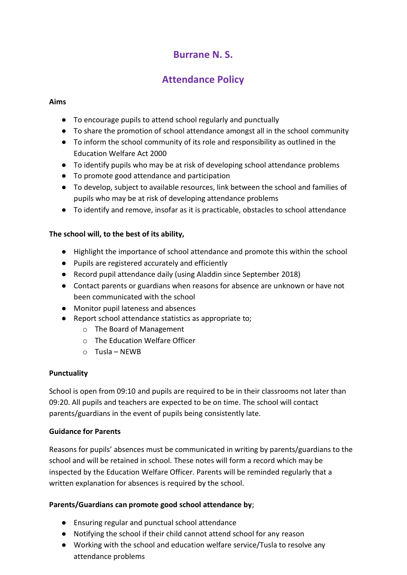## **Burrane N. S.**

# **Attendance Policy**

### **Aims**

- To encourage pupils to attend school regularly and punctually
- To share the promotion of school attendance amongst all in the school community
- To inform the school community of its role and responsibility as outlined in the Education Welfare Act 2000
- To identify pupils who may be at risk of developing school attendance problems
- To promote good attendance and participation
- To develop, subject to available resources, link between the school and families of pupils who may be at risk of developing attendance problems
- To identify and remove, insofar as it is practicable, obstacles to school attendance

## **The school will, to the best of its ability,**

- Highlight the importance of school attendance and promote this within the school
- Pupils are registered accurately and efficiently
- Record pupil attendance daily (using Aladdin since September 2018)
- Contact parents or guardians when reasons for absence are unknown or have not been communicated with the school
- Monitor pupil lateness and absences
- Report school attendance statistics as appropriate to;
	- o The Board of Management
	- o The Education Welfare Officer
	- o Tusla NEWB

#### **Punctuality**

School is open from 09:10 and pupils are required to be in their classrooms not later than 09:20. All pupils and teachers are expected to be on time. The school will contact parents/guardians in the event of pupils being consistently late.

#### **Guidance for Parents**

Reasons for pupils' absences must be communicated in writing by parents/guardians to the school and will be retained in school. These notes will form a record which may be inspected by the Education Welfare Officer. Parents will be reminded regularly that a written explanation for absences is required by the school.

#### **Parents/Guardians can promote good school attendance by**;

- Ensuring regular and punctual school attendance
- Notifying the school if their child cannot attend school for any reason
- Working with the school and education welfare service/Tusla to resolve any attendance problems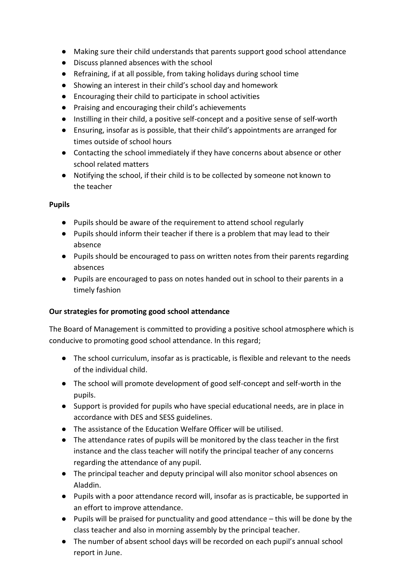- Making sure their child understands that parents support good school attendance
- Discuss planned absences with the school
- Refraining, if at all possible, from taking holidays during school time
- Showing an interest in their child's school day and homework
- Encouraging their child to participate in school activities
- Praising and encouraging their child's achievements
- Instilling in their child, a positive self-concept and a positive sense of self-worth
- Ensuring, insofar as is possible, that their child's appointments are arranged for times outside of school hours
- Contacting the school immediately if they have concerns about absence or other school related matters
- Notifying the school, if their child is to be collected by someone not known to the teacher

#### **Pupils**

- Pupils should be aware of the requirement to attend school regularly
- Pupils should inform their teacher if there is a problem that may lead to their absence
- Pupils should be encouraged to pass on written notes from their parents regarding absences
- Pupils are encouraged to pass on notes handed out in school to their parents in a timely fashion

#### **Our strategies for promoting good school attendance**

The Board of Management is committed to providing a positive school atmosphere which is conducive to promoting good school attendance. In this regard;

- The school curriculum, insofar as is practicable, is flexible and relevant to the needs of the individual child.
- The school will promote development of good self-concept and self-worth in the pupils.
- Support is provided for pupils who have special educational needs, are in place in accordance with DES and SESS guidelines.
- The assistance of the Education Welfare Officer will be utilised.
- The attendance rates of pupils will be monitored by the class teacher in the first instance and the class teacher will notify the principal teacher of any concerns regarding the attendance of any pupil.
- The principal teacher and deputy principal will also monitor school absences on Aladdin.
- Pupils with a poor attendance record will, insofar as is practicable, be supported in an effort to improve attendance.
- Pupils will be praised for punctuality and good attendance this will be done by the class teacher and also in morning assembly by the principal teacher.
- The number of absent school days will be recorded on each pupil's annual school report in June.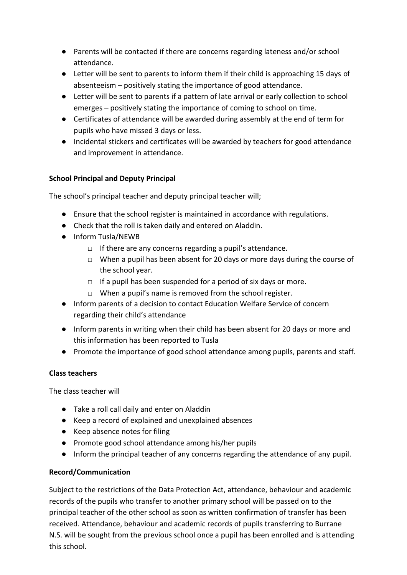- Parents will be contacted if there are concerns regarding lateness and/or school attendance.
- Letter will be sent to parents to inform them if their child is approaching 15 days of absenteeism – positively stating the importance of good attendance.
- Letter will be sent to parents if a pattern of late arrival or early collection to school emerges – positively stating the importance of coming to school on time.
- Certificates of attendance will be awarded during assembly at the end of term for pupils who have missed 3 days or less.
- Incidental stickers and certificates will be awarded by teachers for good attendance and improvement in attendance.

## **School Principal and Deputy Principal**

The school's principal teacher and deputy principal teacher will;

- Ensure that the school register is maintained in accordance with regulations.
- Check that the roll is taken daily and entered on Aladdin.
- Inform Tusla/NEWB
	- □ If there are any concerns regarding a pupil's attendance.
	- $\Box$  When a pupil has been absent for 20 days or more days during the course of the school year.
	- $\Box$  If a pupil has been suspended for a period of six days or more.
	- □ When a pupil's name is removed from the school register.
- Inform parents of a decision to contact Education Welfare Service of concern regarding their child's attendance
- Inform parents in writing when their child has been absent for 20 days or more and this information has been reported to Tusla
- Promote the importance of good school attendance among pupils, parents and staff.

## **Class teachers**

The class teacher will

- Take a roll call daily and enter on Aladdin
- Keep a record of explained and unexplained absences
- Keep absence notes for filing
- Promote good school attendance among his/her pupils
- Inform the principal teacher of any concerns regarding the attendance of any pupil.

## **Record/Communication**

Subject to the restrictions of the Data Protection Act, attendance, behaviour and academic records of the pupils who transfer to another primary school will be passed on to the principal teacher of the other school as soon as written confirmation of transfer has been received. Attendance, behaviour and academic records of pupils transferring to Burrane N.S. will be sought from the previous school once a pupil has been enrolled and is attending this school.